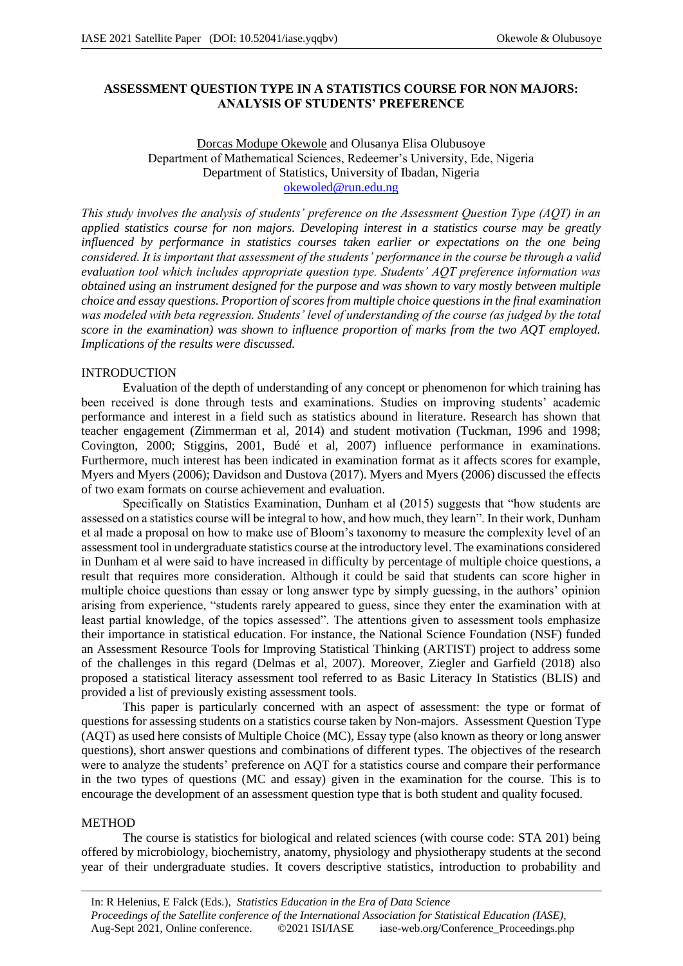# **ASSESSMENT QUESTION TYPE IN A STATISTICS COURSE FOR NON MAJORS: ANALYSIS OF STUDENTS' PREFERENCE**

Dorcas Modupe Okewole and Olusanya Elisa Olubusoye Department of Mathematical Sciences, Redeemer's University, Ede, Nigeria Department of Statistics, University of Ibadan, Nigeria okewoled@run.edu.ng

*This study involves the analysis of students' preference on the Assessment Question Type (AQT) in an applied statistics course for non majors. Developing interest in a statistics course may be greatly influenced by performance in statistics courses taken earlier or expectations on the one being considered. It is important that assessment of the students' performance in the course be through a valid evaluation tool which includes appropriate question type. Students' AQT preference information was obtained using an instrument designed for the purpose and was shown to vary mostly between multiple choice and essay questions. Proportion of scores from multiple choice questions in the final examination was modeled with beta regression. Students' level of understanding of the course (as judged by the total score in the examination) was shown to influence proportion of marks from the two AQT employed. Implications of the results were discussed.*

## INTRODUCTION

Evaluation of the depth of understanding of any concept or phenomenon for which training has been received is done through tests and examinations. Studies on improving students' academic performance and interest in a field such as statistics abound in literature. Research has shown that teacher engagement (Zimmerman et al, 2014) and student motivation (Tuckman, 1996 and 1998; Covington, 2000; Stiggins, 2001, Budé et al, 2007) influence performance in examinations. Furthermore, much interest has been indicated in examination format as it affects scores for example, Myers and Myers (2006); Davidson and Dustova (2017). Myers and Myers (2006) discussed the effects of two exam formats on course achievement and evaluation.

Specifically on Statistics Examination, Dunham et al (2015) suggests that "how students are assessed on a statistics course will be integral to how, and how much, they learn". In their work, Dunham et al made a proposal on how to make use of Bloom's taxonomy to measure the complexity level of an assessment tool in undergraduate statistics course at the introductory level. The examinations considered in Dunham et al were said to have increased in difficulty by percentage of multiple choice questions, a result that requires more consideration. Although it could be said that students can score higher in multiple choice questions than essay or long answer type by simply guessing, in the authors' opinion arising from experience, "students rarely appeared to guess, since they enter the examination with at least partial knowledge, of the topics assessed". The attentions given to assessment tools emphasize their importance in statistical education. For instance, the National Science Foundation (NSF) funded an Assessment Resource Tools for Improving Statistical Thinking (ARTIST) project to address some of the challenges in this regard (Delmas et al, 2007). Moreover, Ziegler and Garfield (2018) also proposed a statistical literacy assessment tool referred to as Basic Literacy In Statistics (BLIS) and provided a list of previously existing assessment tools.

This paper is particularly concerned with an aspect of assessment: the type or format of questions for assessing students on a statistics course taken by Non-majors. Assessment Question Type (AQT) as used here consists of Multiple Choice (MC), Essay type (also known as theory or long answer questions), short answer questions and combinations of different types. The objectives of the research were to analyze the students' preference on AQT for a statistics course and compare their performance in the two types of questions (MC and essay) given in the examination for the course. This is to encourage the development of an assessment question type that is both student and quality focused.

#### METHOD

The course is statistics for biological and related sciences (with course code: STA 201) being offered by microbiology, biochemistry, anatomy, physiology and physiotherapy students at the second year of their undergraduate studies. It covers descriptive statistics, introduction to probability and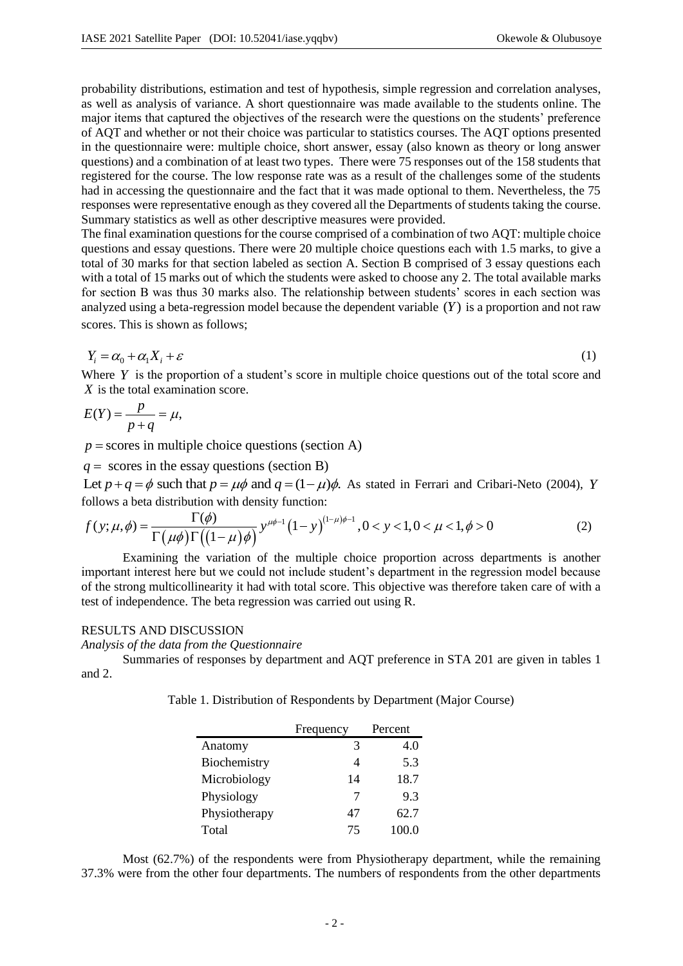probability distributions, estimation and test of hypothesis, simple regression and correlation analyses, as well as analysis of variance. A short questionnaire was made available to the students online. The major items that captured the objectives of the research were the questions on the students' preference of AQT and whether or not their choice was particular to statistics courses. The AQT options presented in the questionnaire were: multiple choice, short answer, essay (also known as theory or long answer questions) and a combination of at least two types. There were 75 responses out of the 158 students that registered for the course. The low response rate was as a result of the challenges some of the students had in accessing the questionnaire and the fact that it was made optional to them. Nevertheless, the 75 responses were representative enough as they covered all the Departments of students taking the course. Summary statistics as well as other descriptive measures were provided.

The final examination questions for the course comprised of a combination of two AQT: multiple choice questions and essay questions. There were 20 multiple choice questions each with 1.5 marks, to give a total of 30 marks for that section labeled as section A. Section B comprised of 3 essay questions each with a total of 15 marks out of which the students were asked to choose any 2. The total available marks for section B was thus 30 marks also. The relationship between students' scores in each section was analyzed using a beta-regression model because the dependent variable  $(Y)$  is a proportion and not raw scores. This is shown as follows;

$$
Y_i = \alpha_0 + \alpha_1 X_i + \varepsilon \tag{1}
$$

Where Y is the proportion of a student's score in multiple choice questions out of the total score and *X* is the total examination score.<br>  $E(Y) = \frac{p}{p+a} = \mu$ ,

$$
E(Y) = \frac{p}{p+q} = \mu,
$$

 $p$  = scores in multiple choice questions (section A)

 $q =$  scores in the essay questions (section B)

q = scores in the essay questions (section B)<br>Let  $p + q = \phi$  such that  $p = \mu \phi$  and  $q = (1 - \mu)\phi$ . As stated in Ferrari and Cribari-Neto (2004), Y follows a beta distribution with density function:

Let 
$$
p + q = \phi
$$
 such that  $p = \mu \phi$  and  $q = (1 - \mu)\phi$ . As stated in Ferrari and Cribari-Neto (2004),  $Y$  follows a beta distribution with density function:  
\n
$$
f(y; \mu, \phi) = \frac{\Gamma(\phi)}{\Gamma(\mu \phi) \Gamma((1 - \mu)\phi)} y^{\mu \phi - 1} (1 - y)^{(1 - \mu)\phi - 1}, 0 < y < 1, 0 < \mu < 1, \phi > 0
$$
\n(2)

Examining the variation of the multiple choice proportion across departments is another important interest here but we could not include student's department in the regression model because of the strong multicollinearity it had with total score. This objective was therefore taken care of with a test of independence. The beta regression was carried out using R.

## RESULTS AND DISCUSSION

*Analysis of the data from the Questionnaire*

Summaries of responses by department and AQT preference in STA 201 are given in tables 1 and 2.

Table 1. Distribution of Respondents by Department (Major Course)

|               | Frequency | Percent |
|---------------|-----------|---------|
| Anatomy       | 3         | 4.0     |
| Biochemistry  | 4         | 5.3     |
| Microbiology  | 14        | 18.7    |
| Physiology    | 7         | 9.3     |
| Physiotherapy | 47        | 62.7    |
| Total         | 75        | 100.0   |

Most (62.7%) of the respondents were from Physiotherapy department, while the remaining 37.3% were from the other four departments. The numbers of respondents from the other departments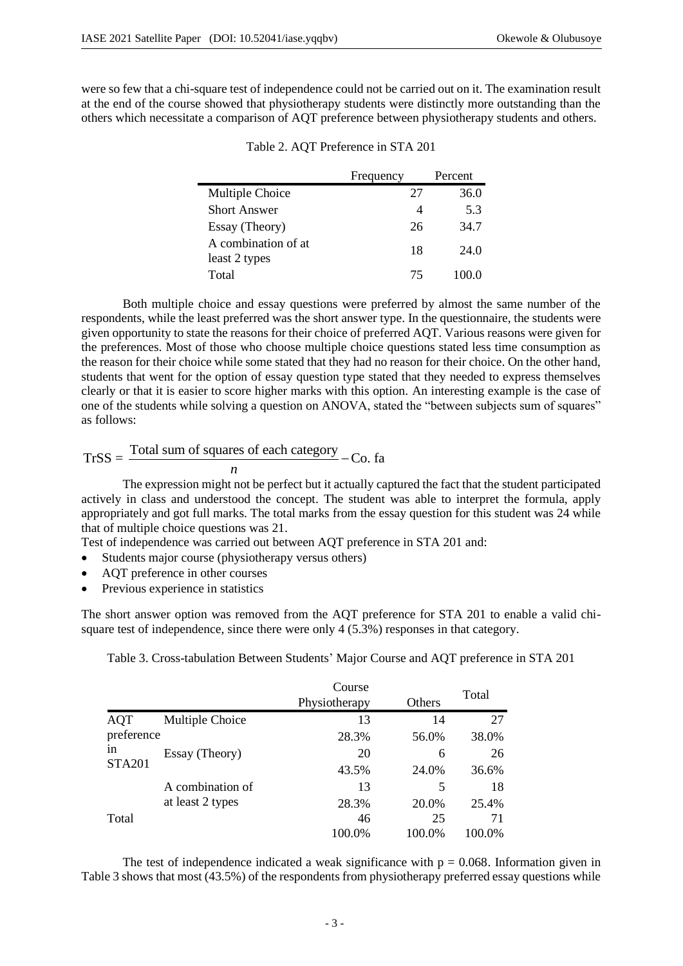were so few that a chi-square test of independence could not be carried out on it. The examination result at the end of the course showed that physiotherapy students were distinctly more outstanding than the others which necessitate a comparison of AQT preference between physiotherapy students and others.

|                                      | Frequency | Percent |
|--------------------------------------|-----------|---------|
| Multiple Choice                      | 27        | 36.0    |
| <b>Short Answer</b>                  |           | 5.3     |
| Essay (Theory)                       | 26        | 34.7    |
| A combination of at<br>least 2 types | 18        | 24.0    |
| Total                                | 75        | 100.0   |

Table 2. AQT Preference in STA 201

Both multiple choice and essay questions were preferred by almost the same number of the respondents, while the least preferred was the short answer type. In the questionnaire, the students were given opportunity to state the reasons for their choice of preferred AQT. Various reasons were given for the preferences. Most of those who choose multiple choice questions stated less time consumption as the reason for their choice while some stated that they had no reason for their choice. On the other hand, students that went for the option of essay question type stated that they needed to express themselves clearly or that it is easier to score higher marks with this option. An interesting example is the case of one of the students while solving a question on ANOVA, stated the "between subjects sum of squares" as follows:

$$
TrSS = \frac{\text{Total sum of squares of each category}}{n} - \text{Co. fa}
$$

The expression might not be perfect but it actually captured the fact that the student participated actively in class and understood the concept. The student was able to interpret the formula, apply appropriately and got full marks. The total marks from the essay question for this student was 24 while that of multiple choice questions was 21.

Test of independence was carried out between AQT preference in STA 201 and:

- Students major course (physiotherapy versus others)
- AOT preference in other courses
- Previous experience in statistics

The short answer option was removed from the AQT preference for STA 201 to enable a valid chisquare test of independence, since there were only 4 (5.3%) responses in that category.

Table 3. Cross-tabulation Between Students' Major Course and AQT preference in STA 201

|                     |                  | Course<br>Physiotherapy | Others | Total  |
|---------------------|------------------|-------------------------|--------|--------|
| <b>AQT</b>          | Multiple Choice  | 13                      | 14     | 27     |
| preference          |                  | 28.3%                   | 56.0%  | 38.0%  |
| 1n<br><b>STA201</b> | Essay (Theory)   | 20                      | 6      | 26     |
|                     |                  | 43.5%                   | 24.0%  | 36.6%  |
|                     | A combination of | 13                      | 5      | 18     |
|                     | at least 2 types | 28.3%                   | 20.0%  | 25.4%  |
| Total               |                  | 46                      | 25     | 71     |
|                     |                  | 100.0%                  | 100.0% | 100.0% |

The test of independence indicated a weak significance with  $p = 0.068$ . Information given in Table 3 shows that most (43.5%) of the respondents from physiotherapy preferred essay questions while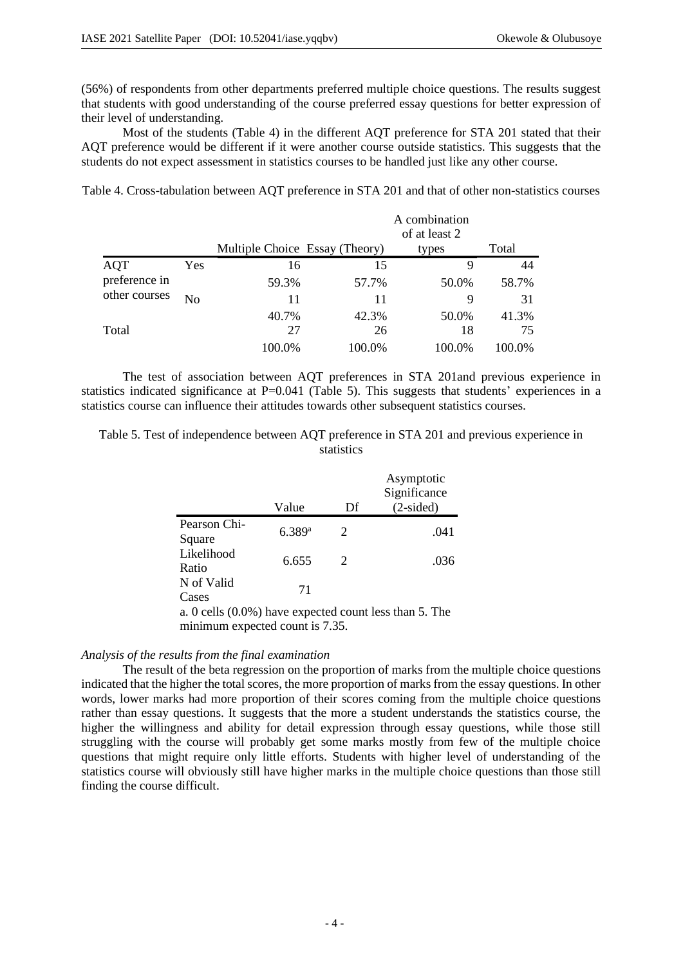(56%) of respondents from other departments preferred multiple choice questions. The results suggest that students with good understanding of the course preferred essay questions for better expression of their level of understanding.

Most of the students (Table 4) in the different AQT preference for STA 201 stated that their AQT preference would be different if it were another course outside statistics. This suggests that the students do not expect assessment in statistics courses to be handled just like any other course.

Table 4. Cross-tabulation between AQT preference in STA 201 and that of other non-statistics courses

|                                |                |                                |        | A combination<br>of at least 2 |        |
|--------------------------------|----------------|--------------------------------|--------|--------------------------------|--------|
|                                |                | Multiple Choice Essay (Theory) |        | types                          | Total  |
| <b>AQT</b>                     | Yes            | 16                             | 15     | 9                              | 44     |
| preference in<br>other courses |                | 59.3%                          | 57.7%  | 50.0%                          | 58.7%  |
|                                | N <sub>0</sub> | 11                             | 11     | 9                              | 31     |
|                                |                | 40.7%                          | 42.3%  | 50.0%                          | 41.3%  |
| Total                          |                | 27                             | 26     | 18                             | 75     |
|                                |                | 100.0%                         | 100.0% | 100.0%                         | 100.0% |

The test of association between AQT preferences in STA 201and previous experience in statistics indicated significance at P=0.041 (Table 5). This suggests that students' experiences in a statistics course can influence their attitudes towards other subsequent statistics courses.

Table 5. Test of independence between AQT preference in STA 201 and previous experience in statistics

|                                                                                               | Value  | Df | Asymptotic<br>Significance<br>$(2-sided)$ |
|-----------------------------------------------------------------------------------------------|--------|----|-------------------------------------------|
| Pearson Chi-<br>Square                                                                        | 6.389a | 2  | .041                                      |
| Likelihood<br>Ratio                                                                           | 6.655  | 2  | .036                                      |
| N of Valid<br>Cases                                                                           | 71     |    |                                           |
| $\Omega$ 0.00 <sup>110</sup> (0.00 <sup>k)</sup> have available count less than $\zeta$ . The |        |    |                                           |

a. 0 cells (0.0%) have expected count less than 5. The minimum expected count is 7.35.

## *Analysis of the results from the final examination*

The result of the beta regression on the proportion of marks from the multiple choice questions indicated that the higher the total scores, the more proportion of marks from the essay questions. In other words, lower marks had more proportion of their scores coming from the multiple choice questions rather than essay questions. It suggests that the more a student understands the statistics course, the higher the willingness and ability for detail expression through essay questions, while those still struggling with the course will probably get some marks mostly from few of the multiple choice questions that might require only little efforts. Students with higher level of understanding of the statistics course will obviously still have higher marks in the multiple choice questions than those still finding the course difficult.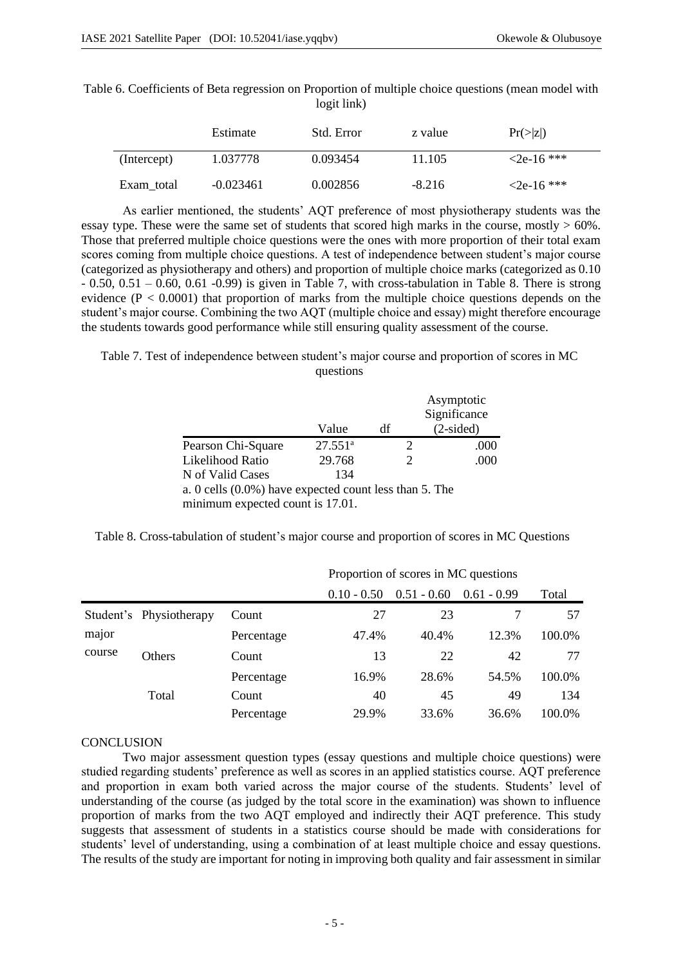| Table 6. Coefficients of Beta regression on Proportion of multiple choice questions (mean model with |             |  |  |
|------------------------------------------------------------------------------------------------------|-------------|--|--|
|                                                                                                      | logit link) |  |  |

|             | Estimate    | Std. Error | z value  | $Pr(\ge  z )$    |
|-------------|-------------|------------|----------|------------------|
| (Intercept) | 1.037778    | 0.093454   | 11.105   | $\leq$ 2e-16 *** |
| Exam total  | $-0.023461$ | 0.002856   | $-8.216$ | $\leq$ 2e-16 *** |

As earlier mentioned, the students' AQT preference of most physiotherapy students was the essay type. These were the same set of students that scored high marks in the course, mostly  $> 60\%$ . Those that preferred multiple choice questions were the ones with more proportion of their total exam scores coming from multiple choice questions. A test of independence between student's major course (categorized as physiotherapy and others) and proportion of multiple choice marks (categorized as 0.10  $-0.50$ ,  $0.51 - 0.60$ ,  $0.61 - 0.99$ ) is given in Table 7, with cross-tabulation in Table 8. There is strong evidence  $(P < 0.0001)$  that proportion of marks from the multiple choice questions depends on the student's major course. Combining the two AQT (multiple choice and essay) might therefore encourage the students towards good performance while still ensuring quality assessment of the course.

Table 7. Test of independence between student's major course and proportion of scores in MC questions

|                                                           |            |    | Asymptotic<br>Significance |
|-----------------------------------------------------------|------------|----|----------------------------|
|                                                           | Value      | df | $(2-sided)$                |
| Pearson Chi-Square                                        | $27.551^a$ | 2  | .000                       |
| Likelihood Ratio                                          | 29.768     | 2  | .000                       |
| N of Valid Cases                                          | 134        |    |                            |
| a. 0 cells $(0.0\%)$ have expected count less than 5. The |            |    |                            |
| minimum expected count is 17.01.                          |            |    |                            |

Table 8. Cross-tabulation of student's major course and proportion of scores in MC Questions

|        |                         |            | Proportion of scores in MC questions |               |               |        |
|--------|-------------------------|------------|--------------------------------------|---------------|---------------|--------|
|        |                         |            | $0.10 - 0.50$                        | $0.51 - 0.60$ | $0.61 - 0.99$ | Total  |
|        | Student's Physiotherapy | Count      | 27                                   | 23            |               | 57     |
| major  |                         | Percentage | 47.4%                                | 40.4%         | 12.3%         | 100.0% |
| course | Others                  | Count      | 13                                   | 22            | 42            | 77     |
|        |                         | Percentage | 16.9%                                | 28.6%         | 54.5%         | 100.0% |
|        | Total                   | Count      | 40                                   | 45            | 49            | 134    |
|        |                         | Percentage | 29.9%                                | 33.6%         | 36.6%         | 100.0% |

#### **CONCLUSION**

Two major assessment question types (essay questions and multiple choice questions) were studied regarding students' preference as well as scores in an applied statistics course. AQT preference and proportion in exam both varied across the major course of the students. Students' level of understanding of the course (as judged by the total score in the examination) was shown to influence proportion of marks from the two AQT employed and indirectly their AQT preference. This study suggests that assessment of students in a statistics course should be made with considerations for students' level of understanding, using a combination of at least multiple choice and essay questions. The results of the study are important for noting in improving both quality and fair assessment in similar